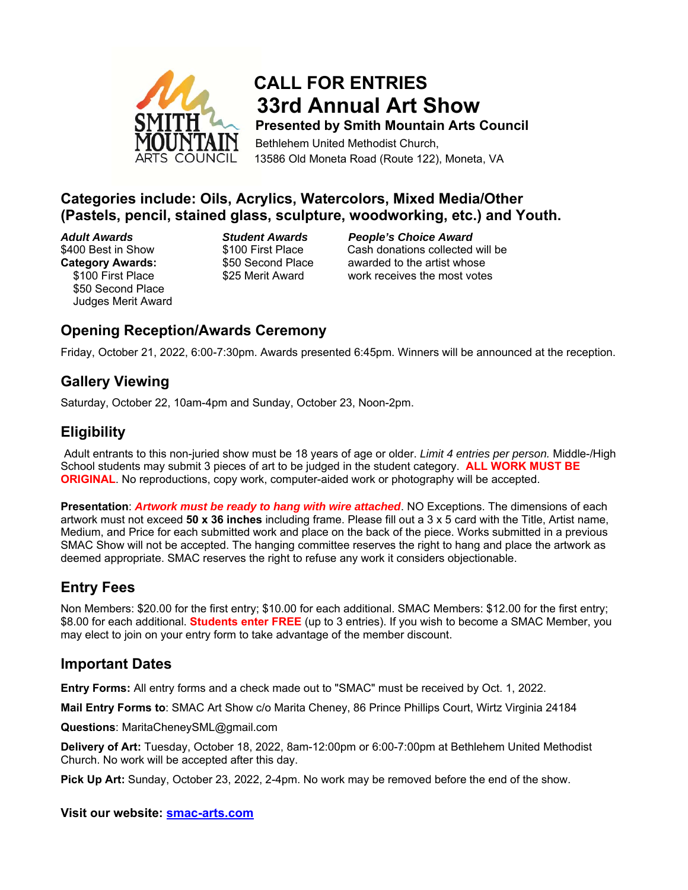

# **CALL FOR ENTRIES 33rd Annual Art Show Presented by Smith Mountain Arts Council**

 Bethlehem United Methodist Church, 13586 Old Moneta Road (Route 122), Moneta, VA

### **Categories include: Oils, Acrylics, Watercolors, Mixed Media/Other (Pastels, pencil, stained glass, sculpture, woodworking, etc.) and Youth.**

 \$50 Second Place Judges Merit Award

*Adult Awards**Student Awards People's Choice Award* \$400 Best in Show \$100 First Place Cash donations collected will be **Category Awards:**  $$50$  Second Place awarded to the artist whose \$100 First Place \$25 Merit Award work receives the most votes

# **Opening Reception/Awards Ceremony**

Friday, October 21, 2022, 6:00-7:30pm. Awards presented 6:45pm. Winners will be announced at the reception.

### **Gallery Viewing**

Saturday, October 22, 10am-4pm and Sunday, October 23, Noon-2pm.

### **Eligibility**

Adult entrants to this non-juried show must be 18 years of age or older. *Limit 4 entries per person.* Middle-/High School students may submit 3 pieces of art to be judged in the student category. **ALL WORK MUST BE ORIGINAL**. No reproductions, copy work, computer-aided work or photography will be accepted.

**Presentation**: *Artwork must be ready to hang with wire attached*. NO Exceptions. The dimensions of each artwork must not exceed **50 x 36 inches** including frame. Please fill out a 3 x 5 card with the Title, Artist name, Medium, and Price for each submitted work and place on the back of the piece. Works submitted in a previous SMAC Show will not be accepted. The hanging committee reserves the right to hang and place the artwork as deemed appropriate. SMAC reserves the right to refuse any work it considers objectionable.

# **Entry Fees**

Non Members: \$20.00 for the first entry; \$10.00 for each additional. SMAC Members: \$12.00 for the first entry; \$8.00 for each additional. **Students enter FREE** (up to 3 entries). If you wish to become a SMAC Member, you may elect to join on your entry form to take advantage of the member discount.

#### **Important Dates**

**Entry Forms:** All entry forms and a check made out to "SMAC" must be received by Oct. 1, 2022.

**Mail Entry Forms to**: SMAC Art Show c/o Marita Cheney, 86 Prince Phillips Court, Wirtz Virginia 24184

**Questions**: MaritaCheneySML@gmail.com

**Delivery of Art:** Tuesday, October 18, 2022, 8am-12:00pm or 6:00-7:00pm at Bethlehem United Methodist Church. No work will be accepted after this day.

**Pick Up Art:** Sunday, October 23, 2022, 2-4pm. No work may be removed before the end of the show.

#### **Visit our website: smac-arts.com**